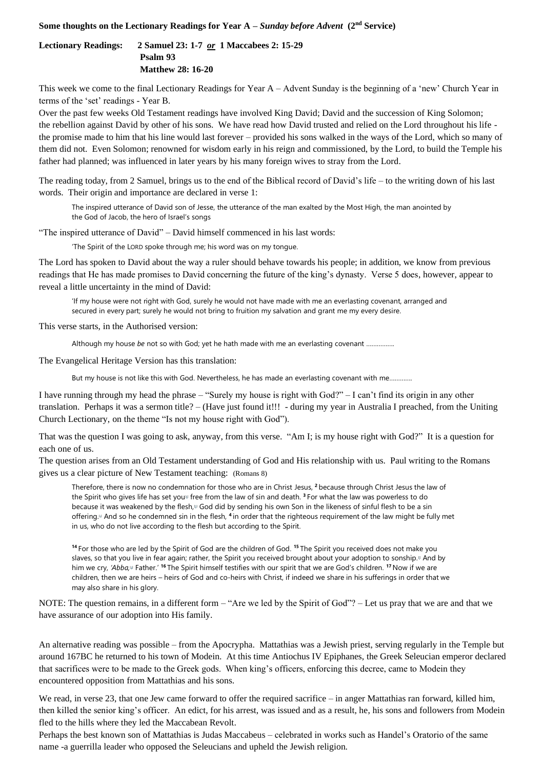## **Some thoughts on the Lectionary Readings for Year A –** *Sunday before Advent* **(2nd Service)**

**Lectionary Readings: 2 Samuel 23: 1-7** *or* **1 Maccabees 2: 15-29 Psalm 93 Matthew 28: 16-20**

This week we come to the final Lectionary Readings for Year A – Advent Sunday is the beginning of a 'new' Church Year in terms of the 'set' readings - Year B.

Over the past few weeks Old Testament readings have involved King David; David and the succession of King Solomon; the rebellion against David by other of his sons. We have read how David trusted and relied on the Lord throughout his life the promise made to him that his line would last forever – provided his sons walked in the ways of the Lord, which so many of them did not. Even Solomon; renowned for wisdom early in his reign and commissioned, by the Lord, to build the Temple his father had planned; was influenced in later years by his many foreign wives to stray from the Lord.

The reading today, from 2 Samuel, brings us to the end of the Biblical record of David's life – to the writing down of his last words. Their origin and importance are declared in verse 1:

The inspired utterance of David son of Jesse, the utterance of the man exalted by the Most High, the man anointed by the God of Jacob, the hero of Israel's songs

"The inspired utterance of David" – David himself commenced in his last words:

'The Spirit of the LORD spoke through me; his word was on my tongue.

The Lord has spoken to David about the way a ruler should behave towards his people; in addition, we know from previous readings that He has made promises to David concerning the future of the king's dynasty. Verse 5 does, however, appear to reveal a little uncertainty in the mind of David:

'If my house were not right with God, surely he would not have made with me an everlasting covenant, arranged and secured in every part; surely he would not bring to fruition my salvation and grant me my every desire.

This verse starts, in the Authorised version:

Although my house *be* not so with God; yet he hath made with me an everlasting covenant …………….

The Evangelical Heritage Version has this translation:

But my house is not like this with God. Nevertheless, he has made an everlasting covenant with me.......

I have running through my head the phrase – "Surely my house is right with God?" – I can't find its origin in any other translation. Perhaps it was a sermon title? – (Have just found it!!! - during my year in Australia I preached, from the Uniting Church Lectionary, on the theme "Is not my house right with God").

That was the question I was going to ask, anyway, from this verse. "Am I; is my house right with God?" It is a question for each one of us.

The question arises from an Old Testament understanding of God and His relationship with us. Paul writing to the Romans gives us a clear picture of New Testament teaching: (Romans 8)

Therefore, there is now no condemnation for those who are in Christ Jesus, **<sup>2</sup>** because through Christ Jesus the law of the Spirit who gives life has set yo[u](https://www.biblegateway.com/passage/?search=Romans+8&version=NIVUK#fen-NIVUK-28119a)<sup>"</sup> free from the law of sin and death. <sup>3</sup> For what the law was powerless to do because it was weakened by the flesh,<sup>[B]</sup> God did by sending his own Son in the likeness of sinful flesh to be a sin offering[.](https://www.biblegateway.com/passage/?search=Romans+8&version=NIVUK#fen-NIVUK-28120c)<sup>□</sup> And so he condemned sin in the flesh, <sup>4</sup> in order that the righteous requirement of the law might be fully met in us, who do not live according to the flesh but according to the Spirit.

**<sup>14</sup>** For those who are led by the Spirit of God are the children of God. **<sup>15</sup>** The Spirit you received does not make you slaves, so that you live in fear again; rather, the Spirit you received brought about your adoption to sonship[.](https://www.biblegateway.com/passage/?search=Romans+8&version=NIVUK#fen-NIVUK-28132f)<sup>®</sup> And by him we cry, 'Abba,<sup>[d]</sup> Father.' <sup>16</sup> The Spirit himself testifies with our spirit that we are God's children. <sup>17</sup> Now if we are children, then we are heirs – heirs of God and co-heirs with Christ, if indeed we share in his sufferings in order that we may also share in his glory.

NOTE: The question remains, in a different form – "Are we led by the Spirit of God"? – Let us pray that we are and that we have assurance of our adoption into His family.

An alternative reading was possible – from the Apocrypha. Mattathias was a Jewish priest, serving regularly in the Temple but around 167BC he returned to his town of Modein. At this tim[e Antiochus IV Epiphanes,](https://en.wikipedia.org/wiki/Antiochus_IV_Epiphanes) the Greek Seleucian emperor declared that sacrifices were to be made to the Greek gods. When king's officers, enforcing this decree, came to Modein they encountered opposition from Mattathias and his sons.

We read, in verse 23, that one Jew came forward to offer the required sacrifice – in anger Mattathias ran forward, killed him, then killed the senior king's officer. An edict, for his arrest, was issued and as a result, he, his sons and followers from Modein fled to the hills where they led the Maccabean Revolt.

Perhaps the best known son of Mattathias is Judas Maccabeus – celebrated in works such as Handel's Oratorio of the same name -a guerrilla leader who opposed the Seleucians and upheld the Jewish religion.